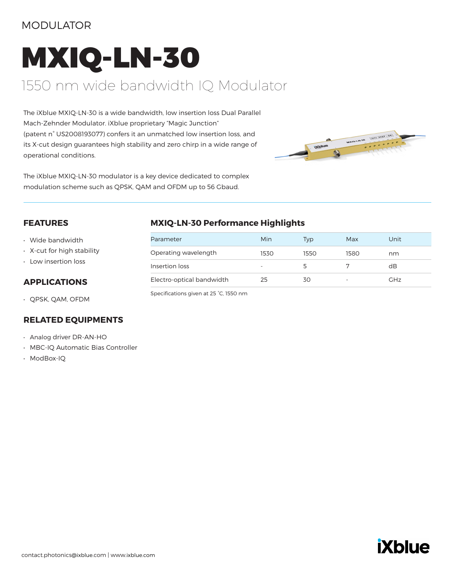### MODULATOR

# MXIQ-LN-30 1550 nm wide bandwidth IQ Modulator

The iXblue MXIQ-LN-30 is a wide bandwidth, low insertion loss Dual Parallel Mach-Zehnder Modulator. iXblue proprietary "Magic Junction" (patent n° US2008193077) confers it an unmatched low insertion loss, and its X-cut design guarantees high stability and zero chirp in a wide range of operational conditions.



The iXblue MXIQ-LN-30 modulator is a key device dedicated to complex modulation scheme such as QPSK, QAM and OFDM up to 56 Gbaud.

#### **FEATURES**

- Wide bandwidth
- X-cut for high stability
- Low insertion loss

#### **APPLICATIONS**

• QPSK, QAM, OFDM

#### **RELATED EQUIPMENTS**

- Analog driver DR-AN-HO
- MBC-IQ Automatic Bias Controller
- ModBox-IQ

#### **MXIQ-LN-30 Performance Highlights**

| Parameter                 | Min  | Typ  | Max                      | Unit       |
|---------------------------|------|------|--------------------------|------------|
| Operating wavelength      | 1530 | 1550 | 1580                     | nm         |
| Insertion loss            |      |      |                          | dB         |
| Electro-optical bandwidth | 25   | 30   | $\overline{\phantom{a}}$ | <b>GHz</b> |

Specifications given at 25 °C, 1550 nm

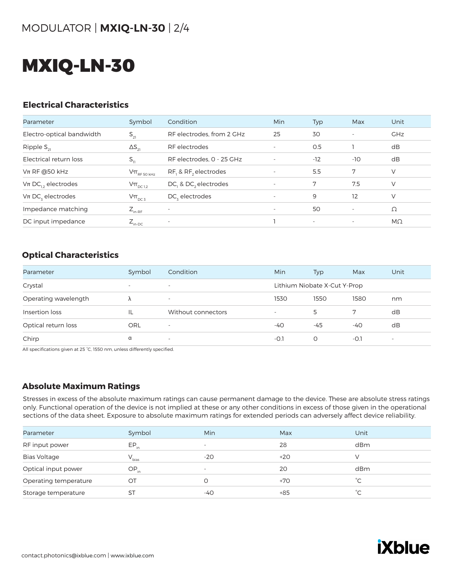## MXIQ-LN-30

#### **Electrical Characteristics**

| Parameter                         | Symbol                                                                              | Condition                 | <b>Min</b>               | Typ   | Max                      | Unit       |
|-----------------------------------|-------------------------------------------------------------------------------------|---------------------------|--------------------------|-------|--------------------------|------------|
| Electro-optical bandwidth         | $S_{21}$                                                                            | RF electrodes, from 2 GHz | 25                       | 30    | $\overline{\phantom{a}}$ | <b>GHz</b> |
| Ripple $S_{21}$                   | $\Delta S_{21}$                                                                     | RF electrodes             |                          | O.5   |                          | dB         |
| Electrical return loss            | $S_{11}$                                                                            | RF electrodes, 0 - 25 GHz | ٠                        | $-12$ | $-10$                    | dB         |
| $Vπ$ RF @50 kHz                   | $\mathsf{V}\pi_{\scriptscriptstyle\mathrm{RF}\,50\,\scriptscriptstyle\mathrm{kHz}}$ | RF, & RF, electrodes      |                          | 5.5   | 7                        | V          |
| $V$ π DC <sub>12</sub> electrodes | $V\pi$ <sub>DC 1,2</sub>                                                            | DC, & DC, electrodes      | $\overline{\phantom{a}}$ | 7     | 7.5                      | V          |
| $Vπ DCz$ electrodes               | $V\pi_{DC3}$                                                                        | $DCz$ electrodes          | $\overline{\phantom{a}}$ | 9     | 12                       | V          |
| Impedance matching                | $Z_{_{\text{in-RF}}}$                                                               |                           | $\overline{\phantom{a}}$ | 50    | $\overline{\phantom{a}}$ | Ω          |
| DC input impedance                | $Z_{\text{in-DC}}$                                                                  | $\overline{\phantom{a}}$  |                          |       | $\overline{\phantom{a}}$ | $M\Omega$  |

#### **Optical Characteristics**

| Parameter            | Symbol                   | Condition                | Min                      | <b>Typ</b>                   | Max    | Unit                     |
|----------------------|--------------------------|--------------------------|--------------------------|------------------------------|--------|--------------------------|
| Crystal              | $\overline{\phantom{0}}$ | $\overline{\phantom{0}}$ |                          | Lithium Niobate X-Cut Y-Prop |        |                          |
| Operating wavelength |                          | $\overline{\phantom{a}}$ | 1530                     | 1550                         | 1580   | nm                       |
| Insertion loss       | IL                       | Without connectors       | $\overline{\phantom{a}}$ | 5                            |        | dB                       |
| Optical return loss  | <b>ORL</b>               | $\overline{\phantom{a}}$ | -40                      | -45                          | -40    | dB                       |
| Chirp                | α                        | $\overline{\phantom{a}}$ | $-O.1$                   | O                            | $-O.1$ | $\overline{\phantom{a}}$ |

All specifications given at 25 °C, 1550 nm, unless differently specified.

#### **Absolute Maximum Ratings**

Stresses in excess of the absolute maximum ratings can cause permanent damage to the device. These are absolute stress ratings only. Functional operation of the device is not implied at these or any other conditions in excess of those given in the operational sections of the data sheet. Exposure to absolute maximum ratings for extended periods can adversely affect device reliability.

| Parameter             | Symbol     | Min                      | Max   | Unit      |
|-----------------------|------------|--------------------------|-------|-----------|
| RF input power        | $EP_{in}$  | $\overline{\phantom{a}}$ | 28    | dBm       |
| <b>Bias Voltage</b>   | $V_{bias}$ | $-20$                    | $+20$ |           |
| Optical input power   | $OP_{in}$  | $\overline{\phantom{a}}$ | 20    | dBm       |
| Operating temperature | ОT         |                          | $+70$ | $\hat{C}$ |
| Storage temperature   | <b>ST</b>  | -40                      | $+85$ | °⊂        |
|                       |            |                          |       |           |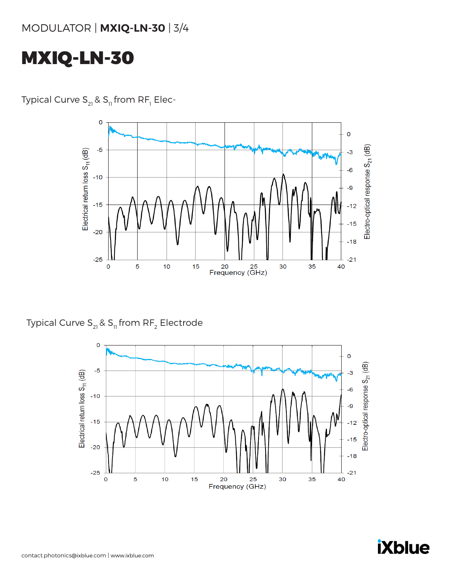## MXIQ-LN-30

Typical Curve S $_{\rm z_{1}}$ & S $_{\rm n}$  from RF $_{\rm r}$  Elec-



Typical Curve  $S_{21}$  &  $S_{11}$  from RF<sub>2</sub> Electrode